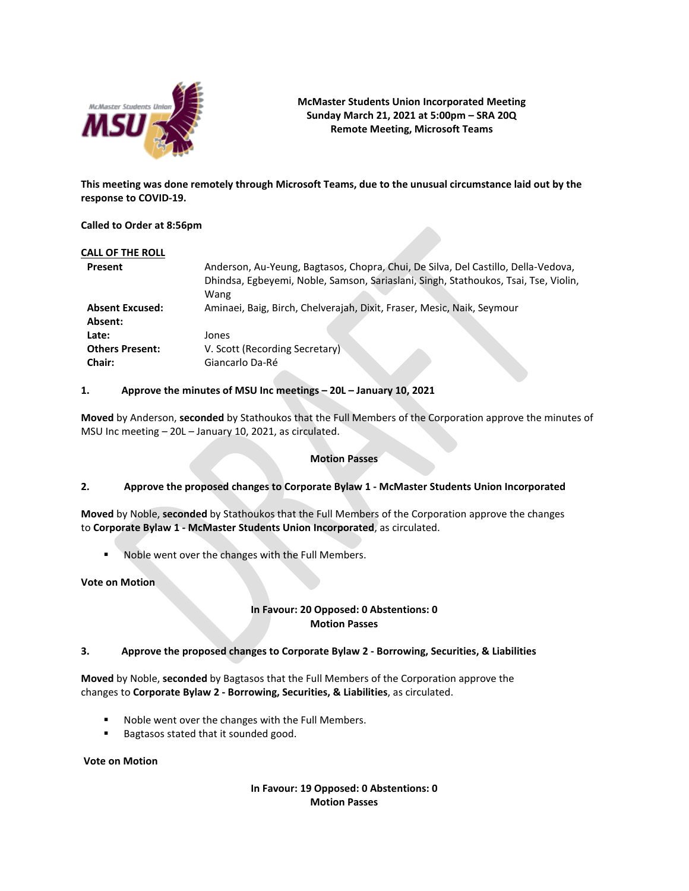

# **McMaster Students Union Incorporated Meeting Sunday March 21, 2021 at 5:00pm – SRA 20Q Remote Meeting, Microsoft Teams**

**This meeting was done remotely through Microsoft Teams, due to the unusual circumstance laid out by the response to COVID-19.**

## **Called to Order at 8:56pm**

| CALL OF THE ROLL       |                                                                                     |
|------------------------|-------------------------------------------------------------------------------------|
| Present                | Anderson, Au-Yeung, Bagtasos, Chopra, Chui, De Silva, Del Castillo, Della-Vedova,   |
|                        | Dhindsa, Egbeyemi, Noble, Samson, Sariaslani, Singh, Stathoukos, Tsai, Tse, Violin, |
|                        | Wang                                                                                |
| <b>Absent Excused:</b> | Aminaei, Baig, Birch, Chelverajah, Dixit, Fraser, Mesic, Naik, Seymour              |
| Absent:                |                                                                                     |
| Late:                  | Jones                                                                               |
| <b>Others Present:</b> | V. Scott (Recording Secretary)                                                      |
| Chair:                 | Giancarlo Da-Ré                                                                     |

## **1. Approve the minutes of MSU Inc meetings – 20L – January 10, 2021**

**Moved** by Anderson, **seconded** by Stathoukos that the Full Members of the Corporation approve the minutes of MSU Inc meeting – 20L – January 10, 2021, as circulated.

### **Motion Passes**

# **2. Approve the proposed changes to Corporate Bylaw 1 - McMaster Students Union Incorporated**

**Moved** by Noble, **seconded** by Stathoukos that the Full Members of the Corporation approve the changes to **Corporate Bylaw 1 - McMaster Students Union Incorporated**, as circulated.

Noble went over the changes with the Full Members.

**Vote on Motion**

# **In Favour: 20 Opposed: 0 Abstentions: 0 Motion Passes**

## **3. Approve the proposed changes to Corporate Bylaw 2 - Borrowing, Securities, & Liabilities**

**Moved** by Noble, **seconded** by Bagtasos that the Full Members of the Corporation approve the changes to**Corporate Bylaw 2 - Borrowing, Securities, & Liabilities**, as circulated.

- Noble went over the changes with the Full Members.
- **Bagtasos stated that it sounded good.**

**Vote on Motion**

**In Favour: 19 Opposed: 0 Abstentions: 0 Motion Passes**